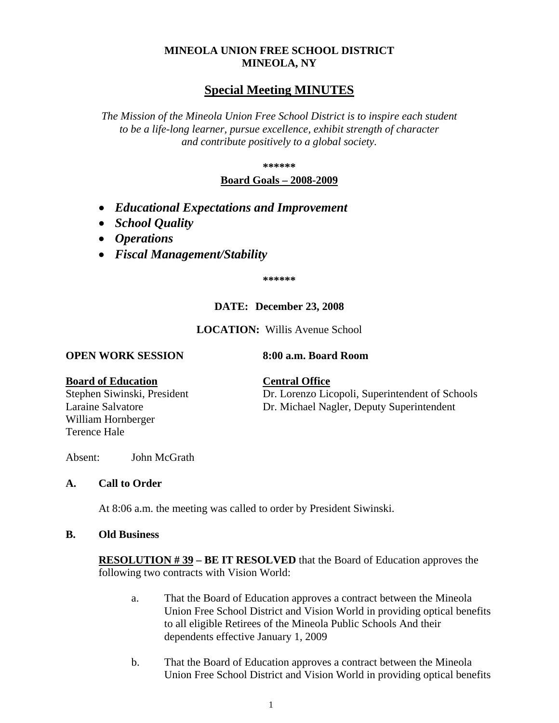## **MINEOLA UNION FREE SCHOOL DISTRICT MINEOLA, NY**

# **Special Meeting MINUTES**

*The Mission of the Mineola Union Free School District is to inspire each student to be a life-long learner, pursue excellence, exhibit strength of character and contribute positively to a global society.*

### **\*\*\*\*\*\***

## **Board Goals – 2008-2009**

- *Educational Expectations and Improvement*
- *School Quality*
- *Operations*
- *Fiscal Management/Stability*

**\*\*\*\*\*\***

### **DATE: December 23, 2008**

**LOCATION:** Willis Avenue School

### **OPEN WORK SESSION 8:00 a.m. Board Room**

### **Board of Education Central Office**

Terence Hale

Laraine Salvatore Dr. Michael Nagler, Deputy Superintendent William Hornberger

Stephen Siwinski, President Dr. Lorenzo Licopoli, Superintendent of Schools

Absent: John McGrath

### **A. Call to Order**

At 8:06 a.m. the meeting was called to order by President Siwinski.

### **B. Old Business**

**RESOLUTION # 39 – BE IT RESOLVED** that the Board of Education approves the following two contracts with Vision World:

- a. That the Board of Education approves a contract between the Mineola Union Free School District and Vision World in providing optical benefits to all eligible Retirees of the Mineola Public Schools And their dependents effective January 1, 2009
- b. That the Board of Education approves a contract between the Mineola Union Free School District and Vision World in providing optical benefits